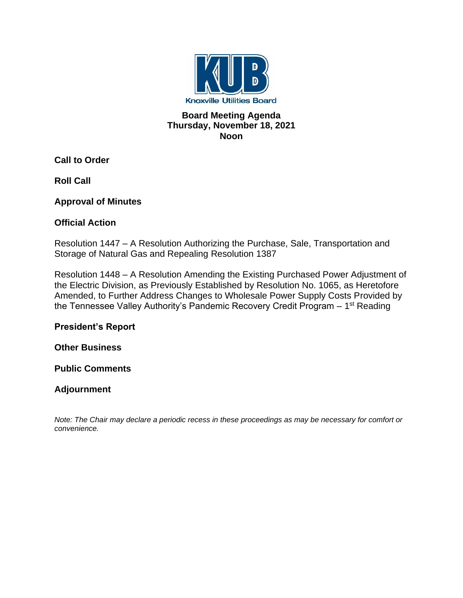

#### **Board Meeting Agenda Thursday, November 18, 2021 Noon**

**Call to Order**

**Roll Call**

**Approval of Minutes**

# **Official Action**

Resolution 1447 – A Resolution Authorizing the Purchase, Sale, Transportation and Storage of Natural Gas and Repealing Resolution 1387

Resolution 1448 – A Resolution Amending the Existing Purchased Power Adjustment of the Electric Division, as Previously Established by Resolution No. 1065, as Heretofore Amended, to Further Address Changes to Wholesale Power Supply Costs Provided by the Tennessee Valley Authority's Pandemic Recovery Credit Program – 1<sup>st</sup> Reading

**President's Report**

**Other Business**

**Public Comments**

# **Adjournment**

*Note: The Chair may declare a periodic recess in these proceedings as may be necessary for comfort or convenience.*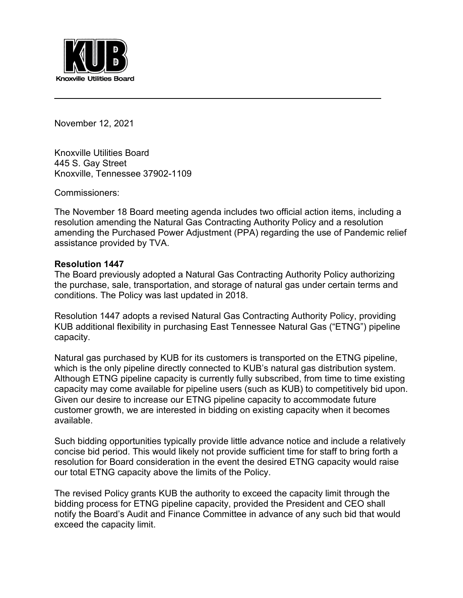

November 12, 2021

Knoxville Utilities Board 445 S. Gay Street Knoxville, Tennessee 37902-1109

Commissioners:

The November 18 Board meeting agenda includes two official action items, including a resolution amending the Natural Gas Contracting Authority Policy and a resolution amending the Purchased Power Adjustment (PPA) regarding the use of Pandemic relief assistance provided by TVA.

#### **Resolution 1447**

The Board previously adopted a Natural Gas Contracting Authority Policy authorizing the purchase, sale, transportation, and storage of natural gas under certain terms and conditions. The Policy was last updated in 2018.

Resolution 1447 adopts a revised Natural Gas Contracting Authority Policy, providing KUB additional flexibility in purchasing East Tennessee Natural Gas ("ETNG") pipeline capacity.

Natural gas purchased by KUB for its customers is transported on the ETNG pipeline, which is the only pipeline directly connected to KUB's natural gas distribution system. Although ETNG pipeline capacity is currently fully subscribed, from time to time existing capacity may come available for pipeline users (such as KUB) to competitively bid upon. Given our desire to increase our ETNG pipeline capacity to accommodate future customer growth, we are interested in bidding on existing capacity when it becomes available.

Such bidding opportunities typically provide little advance notice and include a relatively concise bid period. This would likely not provide sufficient time for staff to bring forth a resolution for Board consideration in the event the desired ETNG capacity would raise our total ETNG capacity above the limits of the Policy.

The revised Policy grants KUB the authority to exceed the capacity limit through the bidding process for ETNG pipeline capacity, provided the President and CEO shall notify the Board's Audit and Finance Committee in advance of any such bid that would exceed the capacity limit.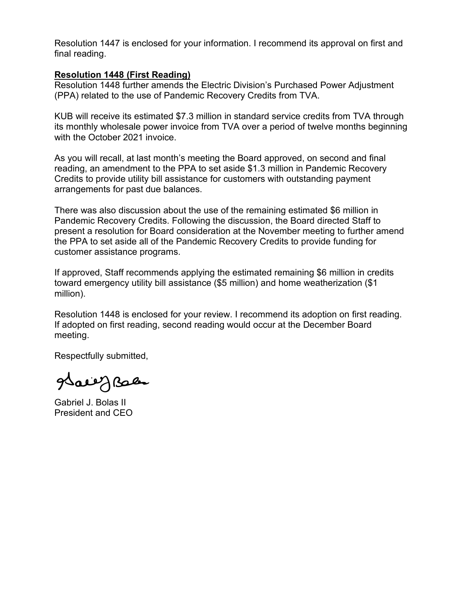Resolution 1447 is enclosed for your information. I recommend its approval on first and final reading.

#### **Resolution 1448 (First Reading)**

Resolution 1448 further amends the Electric Division's Purchased Power Adjustment (PPA) related to the use of Pandemic Recovery Credits from TVA.

KUB will receive its estimated \$7.3 million in standard service credits from TVA through its monthly wholesale power invoice from TVA over a period of twelve months beginning with the October 2021 invoice.

As you will recall, at last month's meeting the Board approved, on second and final reading, an amendment to the PPA to set aside \$1.3 million in Pandemic Recovery Credits to provide utility bill assistance for customers with outstanding payment arrangements for past due balances.

There was also discussion about the use of the remaining estimated \$6 million in Pandemic Recovery Credits. Following the discussion, the Board directed Staff to present a resolution for Board consideration at the November meeting to further amend the PPA to set aside all of the Pandemic Recovery Credits to provide funding for customer assistance programs.

If approved, Staff recommends applying the estimated remaining \$6 million in credits toward emergency utility bill assistance (\$5 million) and home weatherization (\$1 million).

Resolution 1448 is enclosed for your review. I recommend its adoption on first reading. If adopted on first reading, second reading would occur at the December Board meeting.

Respectfully submitted,

gdaer J Bales

Gabriel J. Bolas II President and CEO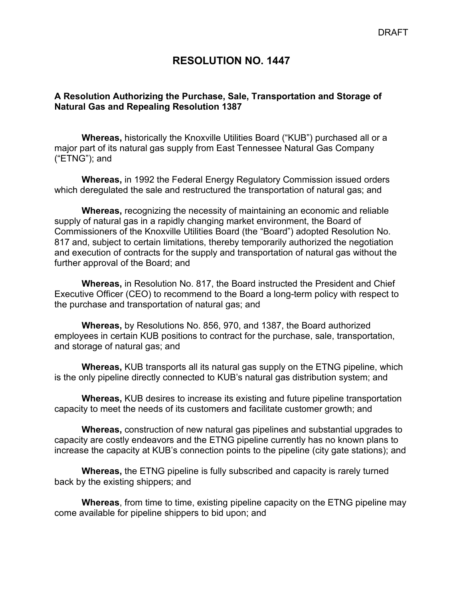#### **RESOLUTION NO. 1447**

#### **A Resolution Authorizing the Purchase, Sale, Transportation and Storage of Natural Gas and Repealing Resolution 1387**

**Whereas,** historically the Knoxville Utilities Board ("KUB") purchased all or a major part of its natural gas supply from East Tennessee Natural Gas Company ("ETNG"); and

**Whereas,** in 1992 the Federal Energy Regulatory Commission issued orders which deregulated the sale and restructured the transportation of natural gas; and

**Whereas,** recognizing the necessity of maintaining an economic and reliable supply of natural gas in a rapidly changing market environment, the Board of Commissioners of the Knoxville Utilities Board (the "Board") adopted Resolution No. 817 and, subject to certain limitations, thereby temporarily authorized the negotiation and execution of contracts for the supply and transportation of natural gas without the further approval of the Board; and

**Whereas,** in Resolution No. 817, the Board instructed the President and Chief Executive Officer (CEO) to recommend to the Board a long-term policy with respect to the purchase and transportation of natural gas; and

**Whereas,** by Resolutions No. 856, 970, and 1387, the Board authorized employees in certain KUB positions to contract for the purchase, sale, transportation, and storage of natural gas; and

**Whereas,** KUB transports all its natural gas supply on the ETNG pipeline, which is the only pipeline directly connected to KUB's natural gas distribution system; and

**Whereas,** KUB desires to increase its existing and future pipeline transportation capacity to meet the needs of its customers and facilitate customer growth; and

**Whereas,** construction of new natural gas pipelines and substantial upgrades to capacity are costly endeavors and the ETNG pipeline currently has no known plans to increase the capacity at KUB's connection points to the pipeline (city gate stations); and

**Whereas,** the ETNG pipeline is fully subscribed and capacity is rarely turned back by the existing shippers; and

**Whereas**, from time to time, existing pipeline capacity on the ETNG pipeline may come available for pipeline shippers to bid upon; and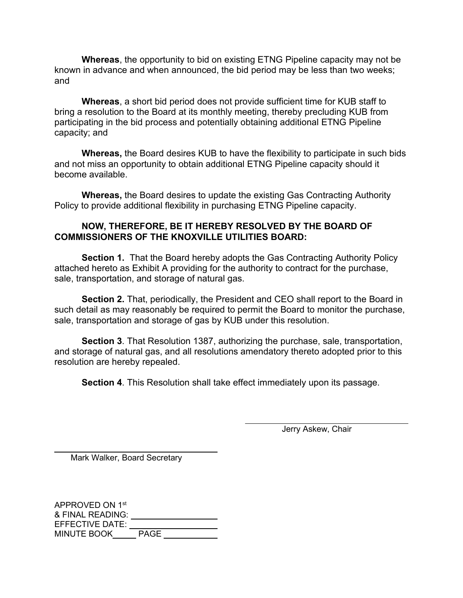**Whereas**, the opportunity to bid on existing ETNG Pipeline capacity may not be known in advance and when announced, the bid period may be less than two weeks; and

**Whereas**, a short bid period does not provide sufficient time for KUB staff to bring a resolution to the Board at its monthly meeting, thereby precluding KUB from participating in the bid process and potentially obtaining additional ETNG Pipeline capacity; and

**Whereas,** the Board desires KUB to have the flexibility to participate in such bids and not miss an opportunity to obtain additional ETNG Pipeline capacity should it become available.

**Whereas,** the Board desires to update the existing Gas Contracting Authority Policy to provide additional flexibility in purchasing ETNG Pipeline capacity.

#### **NOW, THEREFORE, BE IT HEREBY RESOLVED BY THE BOARD OF COMMISSIONERS OF THE KNOXVILLE UTILITIES BOARD:**

**Section 1.** That the Board hereby adopts the Gas Contracting Authority Policy attached hereto as Exhibit A providing for the authority to contract for the purchase, sale, transportation, and storage of natural gas.

**Section 2.** That, periodically, the President and CEO shall report to the Board in such detail as may reasonably be required to permit the Board to monitor the purchase, sale, transportation and storage of gas by KUB under this resolution.

**Section 3**. That Resolution 1387, authorizing the purchase, sale, transportation, and storage of natural gas, and all resolutions amendatory thereto adopted prior to this resolution are hereby repealed.

**Section 4**. This Resolution shall take effect immediately upon its passage.

Jerry Askew, Chair

 $\overline{a}$ 

Mark Walker, Board Secretary

 $\overline{a}$ 

APPROVED ON 1st & FINAL READING: EFFECTIVE DATE: MINUTE BOOK PAGE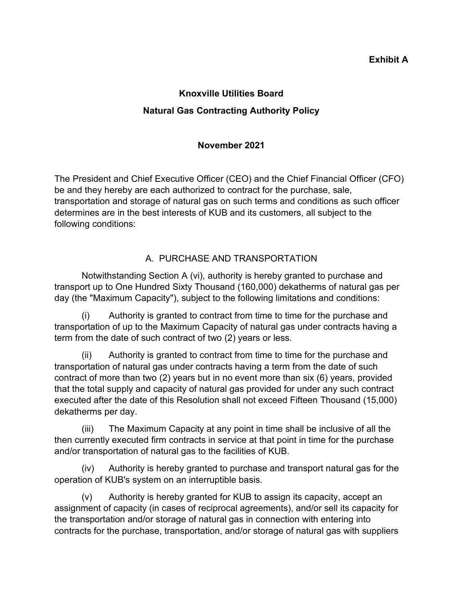#### **Exhibit A**

# **Knoxville Utilities Board Natural Gas Contracting Authority Policy**

# **November 2021**

The President and Chief Executive Officer (CEO) and the Chief Financial Officer (CFO) be and they hereby are each authorized to contract for the purchase, sale, transportation and storage of natural gas on such terms and conditions as such officer determines are in the best interests of KUB and its customers, all subject to the following conditions:

# A. PURCHASE AND TRANSPORTATION

Notwithstanding Section A (vi), authority is hereby granted to purchase and transport up to One Hundred Sixty Thousand (160,000) dekatherms of natural gas per day (the "Maximum Capacity"), subject to the following limitations and conditions:

(i) Authority is granted to contract from time to time for the purchase and transportation of up to the Maximum Capacity of natural gas under contracts having a term from the date of such contract of two (2) years or less.

(ii) Authority is granted to contract from time to time for the purchase and transportation of natural gas under contracts having a term from the date of such contract of more than two (2) years but in no event more than six (6) years, provided that the total supply and capacity of natural gas provided for under any such contract executed after the date of this Resolution shall not exceed Fifteen Thousand (15,000) dekatherms per day.

(iii) The Maximum Capacity at any point in time shall be inclusive of all the then currently executed firm contracts in service at that point in time for the purchase and/or transportation of natural gas to the facilities of KUB.

(iv) Authority is hereby granted to purchase and transport natural gas for the operation of KUB's system on an interruptible basis.

(v) Authority is hereby granted for KUB to assign its capacity, accept an assignment of capacity (in cases of reciprocal agreements), and/or sell its capacity for the transportation and/or storage of natural gas in connection with entering into contracts for the purchase, transportation, and/or storage of natural gas with suppliers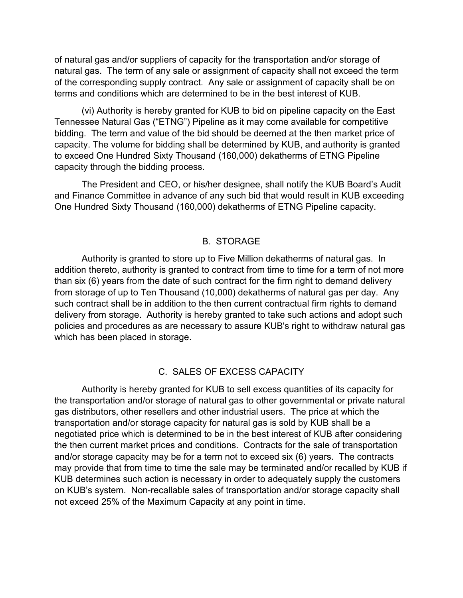of natural gas and/or suppliers of capacity for the transportation and/or storage of natural gas. The term of any sale or assignment of capacity shall not exceed the term of the corresponding supply contract. Any sale or assignment of capacity shall be on terms and conditions which are determined to be in the best interest of KUB.

(vi) Authority is hereby granted for KUB to bid on pipeline capacity on the East Tennessee Natural Gas ("ETNG") Pipeline as it may come available for competitive bidding. The term and value of the bid should be deemed at the then market price of capacity. The volume for bidding shall be determined by KUB, and authority is granted to exceed One Hundred Sixty Thousand (160,000) dekatherms of ETNG Pipeline capacity through the bidding process.

The President and CEO, or his/her designee, shall notify the KUB Board's Audit and Finance Committee in advance of any such bid that would result in KUB exceeding One Hundred Sixty Thousand (160,000) dekatherms of ETNG Pipeline capacity.

#### B. STORAGE

Authority is granted to store up to Five Million dekatherms of natural gas. In addition thereto, authority is granted to contract from time to time for a term of not more than six (6) years from the date of such contract for the firm right to demand delivery from storage of up to Ten Thousand (10,000) dekatherms of natural gas per day. Any such contract shall be in addition to the then current contractual firm rights to demand delivery from storage. Authority is hereby granted to take such actions and adopt such policies and procedures as are necessary to assure KUB's right to withdraw natural gas which has been placed in storage.

#### C. SALES OF EXCESS CAPACITY

Authority is hereby granted for KUB to sell excess quantities of its capacity for the transportation and/or storage of natural gas to other governmental or private natural gas distributors, other resellers and other industrial users. The price at which the transportation and/or storage capacity for natural gas is sold by KUB shall be a negotiated price which is determined to be in the best interest of KUB after considering the then current market prices and conditions. Contracts for the sale of transportation and/or storage capacity may be for a term not to exceed six (6) years. The contracts may provide that from time to time the sale may be terminated and/or recalled by KUB if KUB determines such action is necessary in order to adequately supply the customers on KUB's system. Non-recallable sales of transportation and/or storage capacity shall not exceed 25% of the Maximum Capacity at any point in time.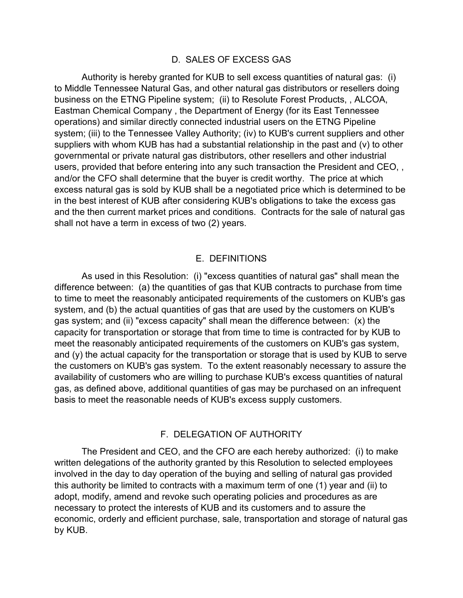#### D. SALES OF EXCESS GAS

Authority is hereby granted for KUB to sell excess quantities of natural gas: (i) to Middle Tennessee Natural Gas, and other natural gas distributors or resellers doing business on the ETNG Pipeline system; (ii) to Resolute Forest Products, , ALCOA, Eastman Chemical Company , the Department of Energy (for its East Tennessee operations) and similar directly connected industrial users on the ETNG Pipeline system; (iii) to the Tennessee Valley Authority; (iv) to KUB's current suppliers and other suppliers with whom KUB has had a substantial relationship in the past and (v) to other governmental or private natural gas distributors, other resellers and other industrial users, provided that before entering into any such transaction the President and CEO, , and/or the CFO shall determine that the buyer is credit worthy. The price at which excess natural gas is sold by KUB shall be a negotiated price which is determined to be in the best interest of KUB after considering KUB's obligations to take the excess gas and the then current market prices and conditions. Contracts for the sale of natural gas shall not have a term in excess of two (2) years.

#### E. DEFINITIONS

As used in this Resolution: (i) "excess quantities of natural gas" shall mean the difference between: (a) the quantities of gas that KUB contracts to purchase from time to time to meet the reasonably anticipated requirements of the customers on KUB's gas system, and (b) the actual quantities of gas that are used by the customers on KUB's gas system; and (ii) "excess capacity" shall mean the difference between: (x) the capacity for transportation or storage that from time to time is contracted for by KUB to meet the reasonably anticipated requirements of the customers on KUB's gas system, and (y) the actual capacity for the transportation or storage that is used by KUB to serve the customers on KUB's gas system. To the extent reasonably necessary to assure the availability of customers who are willing to purchase KUB's excess quantities of natural gas, as defined above, additional quantities of gas may be purchased on an infrequent basis to meet the reasonable needs of KUB's excess supply customers.

#### F. DELEGATION OF AUTHORITY

The President and CEO, and the CFO are each hereby authorized: (i) to make written delegations of the authority granted by this Resolution to selected employees involved in the day to day operation of the buying and selling of natural gas provided this authority be limited to contracts with a maximum term of one (1) year and (ii) to adopt, modify, amend and revoke such operating policies and procedures as are necessary to protect the interests of KUB and its customers and to assure the economic, orderly and efficient purchase, sale, transportation and storage of natural gas by KUB.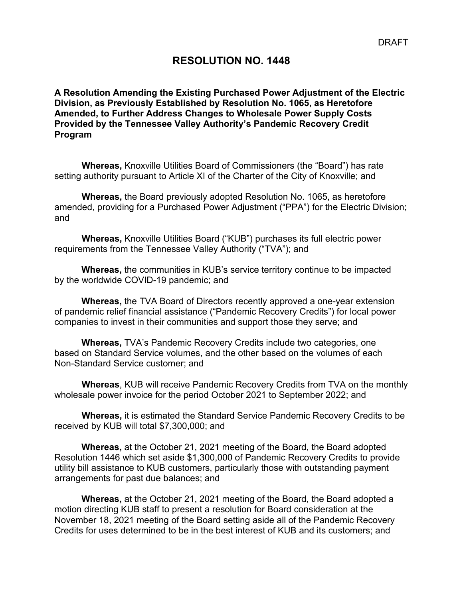### **RESOLUTION NO. 1448**

**A Resolution Amending the Existing Purchased Power Adjustment of the Electric Division, as Previously Established by Resolution No. 1065, as Heretofore Amended, to Further Address Changes to Wholesale Power Supply Costs Provided by the Tennessee Valley Authority's Pandemic Recovery Credit Program**

**Whereas,** Knoxville Utilities Board of Commissioners (the "Board") has rate setting authority pursuant to Article XI of the Charter of the City of Knoxville; and

**Whereas,** the Board previously adopted Resolution No. 1065, as heretofore amended, providing for a Purchased Power Adjustment ("PPA") for the Electric Division; and

**Whereas,** Knoxville Utilities Board ("KUB") purchases its full electric power requirements from the Tennessee Valley Authority ("TVA"); and

**Whereas,** the communities in KUB's service territory continue to be impacted by the worldwide COVID-19 pandemic; and

**Whereas,** the TVA Board of Directors recently approved a one-year extension of pandemic relief financial assistance ("Pandemic Recovery Credits") for local power companies to invest in their communities and support those they serve; and

**Whereas,** TVA's Pandemic Recovery Credits include two categories, one based on Standard Service volumes, and the other based on the volumes of each Non-Standard Service customer; and

**Whereas**, KUB will receive Pandemic Recovery Credits from TVA on the monthly wholesale power invoice for the period October 2021 to September 2022; and

**Whereas,** it is estimated the Standard Service Pandemic Recovery Credits to be received by KUB will total \$7,300,000; and

**Whereas,** at the October 21, 2021 meeting of the Board, the Board adopted Resolution 1446 which set aside \$1,300,000 of Pandemic Recovery Credits to provide utility bill assistance to KUB customers, particularly those with outstanding payment arrangements for past due balances; and

**Whereas,** at the October 21, 2021 meeting of the Board, the Board adopted a motion directing KUB staff to present a resolution for Board consideration at the November 18, 2021 meeting of the Board setting aside all of the Pandemic Recovery Credits for uses determined to be in the best interest of KUB and its customers; and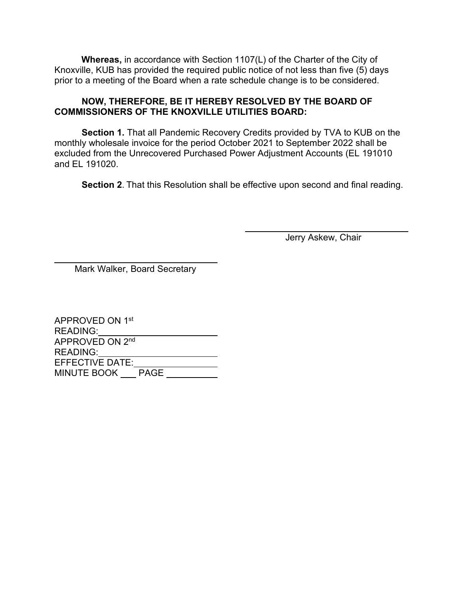**Whereas,** in accordance with Section 1107(L) of the Charter of the City of Knoxville, KUB has provided the required public notice of not less than five (5) days prior to a meeting of the Board when a rate schedule change is to be considered.

#### **NOW, THEREFORE, BE IT HEREBY RESOLVED BY THE BOARD OF COMMISSIONERS OF THE KNOXVILLE UTILITIES BOARD:**

**Section 1.** That all Pandemic Recovery Credits provided by TVA to KUB on the monthly wholesale invoice for the period October 2021 to September 2022 shall be excluded from the Unrecovered Purchased Power Adjustment Accounts (EL 191010 and EL 191020.

**Section 2**. That this Resolution shall be effective upon second and final reading.

Jerry Askew, Chair

Mark Walker, Board Secretary

APPROVED ON 1st READING: APPROVED ON 2nd READING: EFFECTIVE DATE: MINUTE BOOK PAGE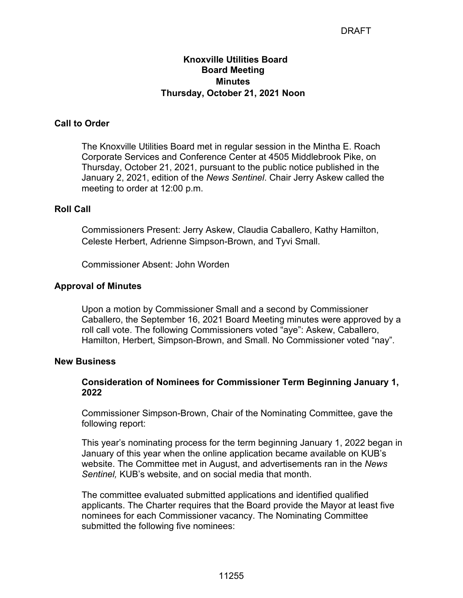#### DRAFT

#### **Knoxville Utilities Board Board Meeting Minutes Thursday, October 21, 2021 Noon**

#### **Call to Order**

The Knoxville Utilities Board met in regular session in the Mintha E. Roach Corporate Services and Conference Center at 4505 Middlebrook Pike, on Thursday, October 21, 2021, pursuant to the public notice published in the January 2, 2021, edition of the *News Sentinel*. Chair Jerry Askew called the meeting to order at 12:00 p.m.

#### **Roll Call**

Commissioners Present: Jerry Askew, Claudia Caballero, Kathy Hamilton, Celeste Herbert, Adrienne Simpson-Brown, and Tyvi Small.

Commissioner Absent: John Worden

#### **Approval of Minutes**

Upon a motion by Commissioner Small and a second by Commissioner Caballero, the September 16, 2021 Board Meeting minutes were approved by a roll call vote. The following Commissioners voted "aye": Askew, Caballero, Hamilton, Herbert, Simpson-Brown, and Small. No Commissioner voted "nay".

#### **New Business**

#### **Consideration of Nominees for Commissioner Term Beginning January 1, 2022**

Commissioner Simpson-Brown, Chair of the Nominating Committee, gave the following report:

This year's nominating process for the term beginning January 1, 2022 began in January of this year when the online application became available on KUB's website. The Committee met in August, and advertisements ran in the *News Sentinel,* KUB's website, and on social media that month.

The committee evaluated submitted applications and identified qualified applicants. The Charter requires that the Board provide the Mayor at least five nominees for each Commissioner vacancy. The Nominating Committee submitted the following five nominees: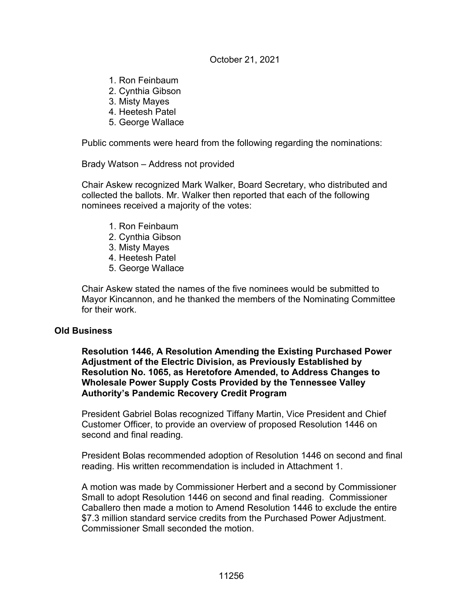#### October 21, 2021

- 1. Ron Feinbaum
- 2. Cynthia Gibson
- 3. Misty Mayes
- 4. Heetesh Patel
- 5. George Wallace

Public comments were heard from the following regarding the nominations:

Brady Watson – Address not provided

Chair Askew recognized Mark Walker, Board Secretary, who distributed and collected the ballots. Mr. Walker then reported that each of the following nominees received a majority of the votes:

- 1. Ron Feinbaum
- 2. Cynthia Gibson
- 3. Misty Mayes
- 4. Heetesh Patel
- 5. George Wallace

Chair Askew stated the names of the five nominees would be submitted to Mayor Kincannon, and he thanked the members of the Nominating Committee for their work.

#### **Old Business**

**Resolution 1446, A Resolution Amending the Existing Purchased Power Adjustment of the Electric Division, as Previously Established by Resolution No. 1065, as Heretofore Amended, to Address Changes to Wholesale Power Supply Costs Provided by the Tennessee Valley Authority's Pandemic Recovery Credit Program**

President Gabriel Bolas recognized Tiffany Martin, Vice President and Chief Customer Officer, to provide an overview of proposed Resolution 1446 on second and final reading.

President Bolas recommended adoption of Resolution 1446 on second and final reading. His written recommendation is included in Attachment 1.

A motion was made by Commissioner Herbert and a second by Commissioner Small to adopt Resolution 1446 on second and final reading. Commissioner Caballero then made a motion to Amend Resolution 1446 to exclude the entire \$7.3 million standard service credits from the Purchased Power Adjustment. Commissioner Small seconded the motion.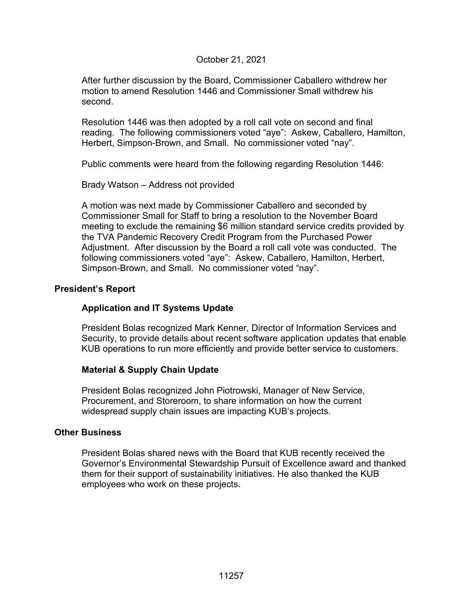#### October 21, 2021

After further discussion by the Board, Commissioner Caballero withdrew her motion to amend Resolution 1446 and Commissioner Small withdrew his second.

Resolution 1446 was then adopted by a roll call vote on second and final reading. The following commissioners voted "aye": Askew, Caballero, Hamilton, Herbert, Simpson-Brown, and Small. No commissioner voted "nay".

Public comments were heard from the following regarding Resolution 1446:

Brady Watson – Address not provided

A motion was next made by Commissioner Caballero and seconded by Commissioner Small for Staff to bring a resolution to the November Board meeting to exclude the remaining \$6 million standard service credits provided by the TVA Pandemic Recovery Credit Program from the Purchased Power Adjustment. After discussion by the Board a roll call vote was conducted. The following commissioners voted "aye": Askew, Caballero, Hamilton, Herbert, Simpson-Brown, and Small. No commissioner voted "nay".

#### **President's Report**

#### **Application and IT Systems Update**

President Bolas recognized Mark Kenner, Director of Information Services and Security, to provide details about recent software application updates that enable KUB operations to run more efficiently and provide better service to customers.

#### **Material & Supply Chain Update**

President Bolas recognized John Piotrowski, Manager of New Service, Procurement, and Storeroom, to share information on how the current widespread supply chain issues are impacting KUB's projects.

#### **Other Business**

President Bolas shared news with the Board that KUB recently received the Governor's Environmental Stewardship Pursuit of Excellence award and thanked them for their support of sustainability initiatives. He also thanked the KUB employees who work on these projects.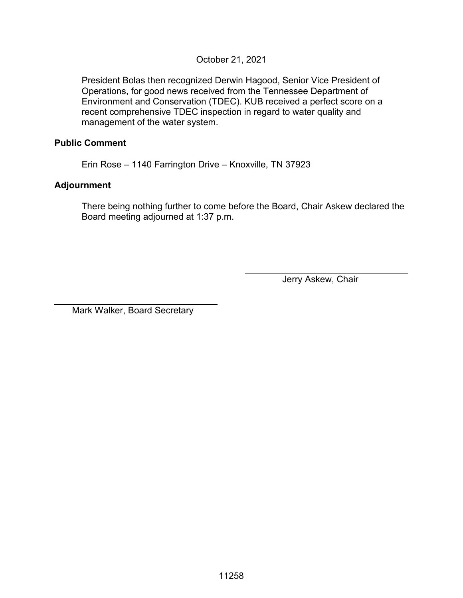#### October 21, 2021

President Bolas then recognized Derwin Hagood, Senior Vice President of Operations, for good news received from the Tennessee Department of Environment and Conservation (TDEC). KUB received a perfect score on a recent comprehensive TDEC inspection in regard to water quality and management of the water system.

#### **Public Comment**

Erin Rose – 1140 Farrington Drive – Knoxville, TN 37923

#### **Adjournment**

 $\overline{a}$ 

There being nothing further to come before the Board, Chair Askew declared the Board meeting adjourned at 1:37 p.m.

Jerry Askew, Chair

Mark Walker, Board Secretary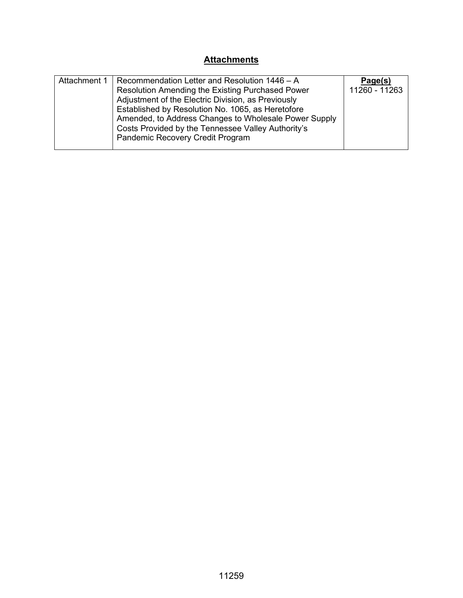# **Attachments**

| Attachment 1 | Recommendation Letter and Resolution 1446 - A         | Page(s)       |
|--------------|-------------------------------------------------------|---------------|
|              | Resolution Amending the Existing Purchased Power      | 11260 - 11263 |
|              | Adjustment of the Electric Division, as Previously    |               |
|              | Established by Resolution No. 1065, as Heretofore     |               |
|              | Amended, to Address Changes to Wholesale Power Supply |               |
|              | Costs Provided by the Tennessee Valley Authority's    |               |
|              | Pandemic Recovery Credit Program                      |               |
|              |                                                       |               |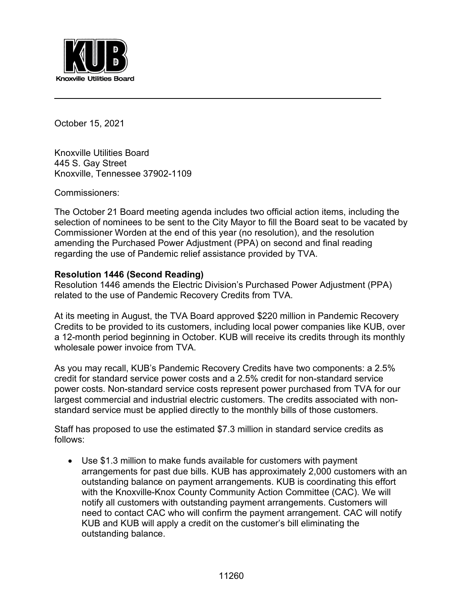

October 15, 2021

 $\ddot{\phantom{a}}$ 

Knoxville Utilities Board 445 S. Gay Street Knoxville, Tennessee 37902-1109

Commissioners:

The October 21 Board meeting agenda includes two official action items, including the selection of nominees to be sent to the City Mayor to fill the Board seat to be vacated by Commissioner Worden at the end of this year (no resolution), and the resolution amending the Purchased Power Adjustment (PPA) on second and final reading regarding the use of Pandemic relief assistance provided by TVA.

#### **Resolution 1446 (Second Reading)**

Resolution 1446 amends the Electric Division's Purchased Power Adjustment (PPA) related to the use of Pandemic Recovery Credits from TVA.

At its meeting in August, the TVA Board approved \$220 million in Pandemic Recovery Credits to be provided to its customers, including local power companies like KUB, over a 12-month period beginning in October. KUB will receive its credits through its monthly wholesale power invoice from TVA.

As you may recall, KUB's Pandemic Recovery Credits have two components: a 2.5% credit for standard service power costs and a 2.5% credit for non-standard service power costs. Non-standard service costs represent power purchased from TVA for our largest commercial and industrial electric customers. The credits associated with nonstandard service must be applied directly to the monthly bills of those customers.

Staff has proposed to use the estimated \$7.3 million in standard service credits as follows:

• Use \$1.3 million to make funds available for customers with payment arrangements for past due bills. KUB has approximately 2,000 customers with an outstanding balance on payment arrangements. KUB is coordinating this effort with the Knoxville-Knox County Community Action Committee (CAC). We will notify all customers with outstanding payment arrangements. Customers will need to contact CAC who will confirm the payment arrangement. CAC will notify KUB and KUB will apply a credit on the customer's bill eliminating the outstanding balance.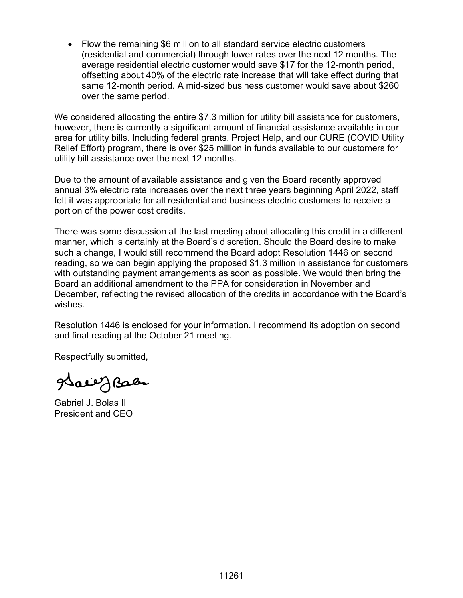• Flow the remaining \$6 million to all standard service electric customers (residential and commercial) through lower rates over the next 12 months. The average residential electric customer would save \$17 for the 12-month period, offsetting about 40% of the electric rate increase that will take effect during that same 12-month period. A mid-sized business customer would save about \$260 over the same period.

We considered allocating the entire \$7.3 million for utility bill assistance for customers, however, there is currently a significant amount of financial assistance available in our area for utility bills. Including federal grants, Project Help, and our CURE (COVID Utility Relief Effort) program, there is over \$25 million in funds available to our customers for utility bill assistance over the next 12 months.

Due to the amount of available assistance and given the Board recently approved annual 3% electric rate increases over the next three years beginning April 2022, staff felt it was appropriate for all residential and business electric customers to receive a portion of the power cost credits.

There was some discussion at the last meeting about allocating this credit in a different manner, which is certainly at the Board's discretion. Should the Board desire to make such a change, I would still recommend the Board adopt Resolution 1446 on second reading, so we can begin applying the proposed \$1.3 million in assistance for customers with outstanding payment arrangements as soon as possible. We would then bring the Board an additional amendment to the PPA for consideration in November and December, reflecting the revised allocation of the credits in accordance with the Board's wishes.

Resolution 1446 is enclosed for your information. I recommend its adoption on second and final reading at the October 21 meeting.

Respectfully submitted,

gdaeeg Bales

Gabriel J. Bolas II President and CEO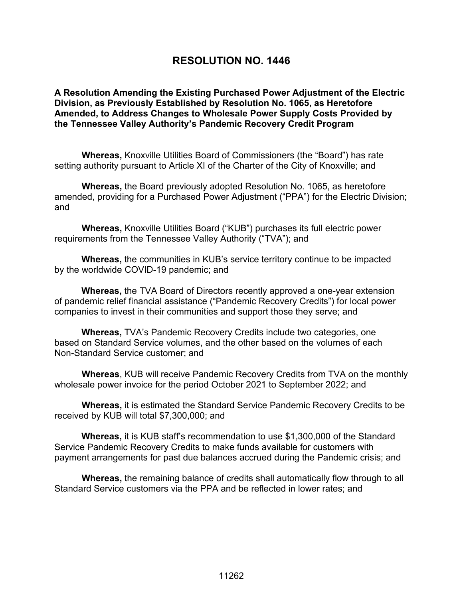# **RESOLUTION NO. 1446**

**A Resolution Amending the Existing Purchased Power Adjustment of the Electric Division, as Previously Established by Resolution No. 1065, as Heretofore Amended, to Address Changes to Wholesale Power Supply Costs Provided by the Tennessee Valley Authority's Pandemic Recovery Credit Program**

**Whereas,** Knoxville Utilities Board of Commissioners (the "Board") has rate setting authority pursuant to Article XI of the Charter of the City of Knoxville; and

**Whereas,** the Board previously adopted Resolution No. 1065, as heretofore amended, providing for a Purchased Power Adjustment ("PPA") for the Electric Division; and

**Whereas,** Knoxville Utilities Board ("KUB") purchases its full electric power requirements from the Tennessee Valley Authority ("TVA"); and

**Whereas,** the communities in KUB's service territory continue to be impacted by the worldwide COVID-19 pandemic; and

**Whereas,** the TVA Board of Directors recently approved a one-year extension of pandemic relief financial assistance ("Pandemic Recovery Credits") for local power companies to invest in their communities and support those they serve; and

**Whereas,** TVA's Pandemic Recovery Credits include two categories, one based on Standard Service volumes, and the other based on the volumes of each Non-Standard Service customer; and

**Whereas**, KUB will receive Pandemic Recovery Credits from TVA on the monthly wholesale power invoice for the period October 2021 to September 2022; and

**Whereas,** it is estimated the Standard Service Pandemic Recovery Credits to be received by KUB will total \$7,300,000; and

**Whereas,** it is KUB staff's recommendation to use \$1,300,000 of the Standard Service Pandemic Recovery Credits to make funds available for customers with payment arrangements for past due balances accrued during the Pandemic crisis; and

**Whereas,** the remaining balance of credits shall automatically flow through to all Standard Service customers via the PPA and be reflected in lower rates; and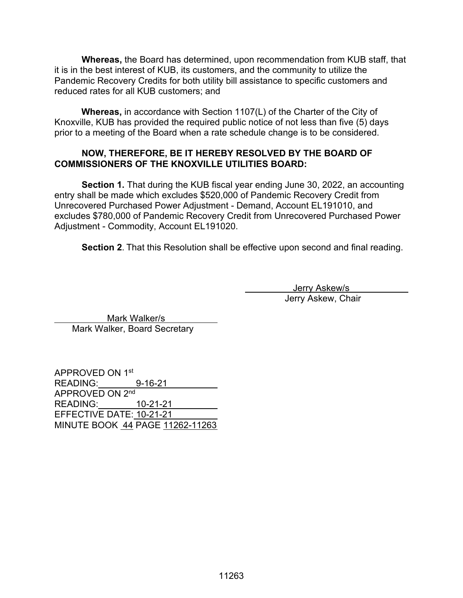**Whereas,** the Board has determined, upon recommendation from KUB staff, that it is in the best interest of KUB, its customers, and the community to utilize the Pandemic Recovery Credits for both utility bill assistance to specific customers and reduced rates for all KUB customers; and

**Whereas,** in accordance with Section 1107(L) of the Charter of the City of Knoxville, KUB has provided the required public notice of not less than five (5) days prior to a meeting of the Board when a rate schedule change is to be considered.

#### **NOW, THEREFORE, BE IT HEREBY RESOLVED BY THE BOARD OF COMMISSIONERS OF THE KNOXVILLE UTILITIES BOARD:**

**Section 1.** That during the KUB fiscal year ending June 30, 2022, an accounting entry shall be made which excludes \$520,000 of Pandemic Recovery Credit from Unrecovered Purchased Power Adjustment - Demand, Account EL191010, and excludes \$780,000 of Pandemic Recovery Credit from Unrecovered Purchased Power Adjustment - Commodity, Account EL191020.

**Section 2**. That this Resolution shall be effective upon second and final reading.

 Jerry Askew/s Jerry Askew, Chair

 Mark Walker/s Mark Walker, Board Secretary

APPROVED ON 1st READING: 9-16-21 APPROVED ON 2<sup>nd</sup> READING: 10-21-21 EFFECTIVE DATE: 10-21-21 MINUTE BOOK 44 PAGE 11262-11263